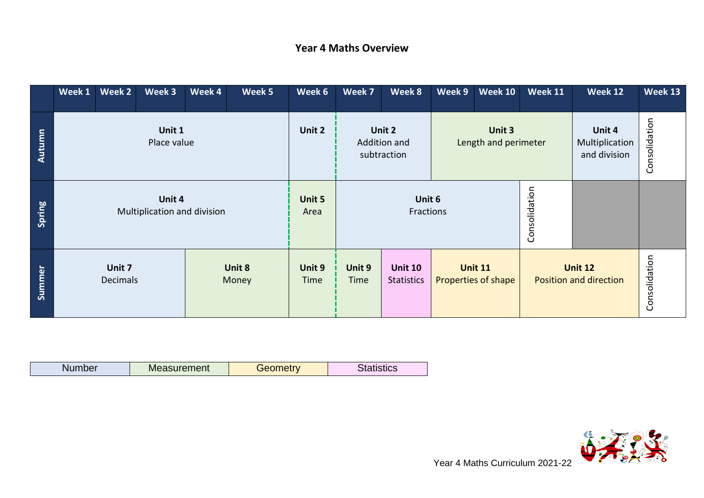## **Year 4 Maths Overview**

|        | Week 1                                | Week 2                    | Week 3 | Week 4         | Week 5              | Week 6                                | Week 7                         | Week 8                              | Week 9 | <b>Week 10</b>                           | <b>Week 11</b> | Week 12                                  | Week 13       |
|--------|---------------------------------------|---------------------------|--------|----------------|---------------------|---------------------------------------|--------------------------------|-------------------------------------|--------|------------------------------------------|----------------|------------------------------------------|---------------|
| Autumn | Unit 1<br>Place value                 |                           |        | Unit 2         |                     | Unit 2<br>Addition and<br>subtraction | Unit 3<br>Length and perimeter |                                     |        | Unit 4<br>Multiplication<br>and division | Consolidation  |                                          |               |
| Spring | Unit 4<br>Multiplication and division |                           |        | Unit 5<br>Area | Unit 6<br>Fractions |                                       |                                | Consolidation                       |        |                                          |                |                                          |               |
| Summer |                                       | Unit 7<br><b>Decimals</b> |        |                | Unit 8<br>Money     | Unit 9<br>Time                        | Unit 9<br>Time                 | <b>Unit 10</b><br><b>Statistics</b> |        | <b>Unit 11</b><br>Properties of shape    |                | <b>Unit 12</b><br>Position and direction | Consolidation |

| Nu | easurement<br>IVIe: | <b>Contract Contract Contract</b><br>- -<br>তদ | sucs |
|----|---------------------|------------------------------------------------|------|

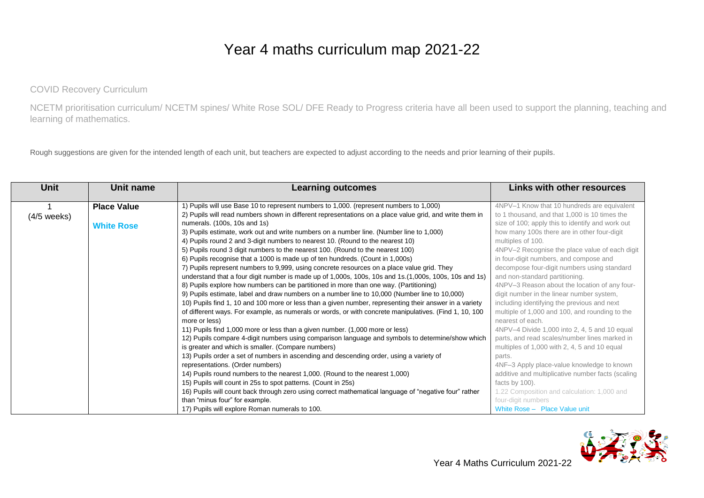## Year 4 maths curriculum map 2021-22

COVID Recovery Curriculum

NCETM prioritisation curriculum/ NCETM spines/ White Rose SOL/ DFE Ready to Progress criteria have all been used to support the planning, teaching and learning of mathematics.

Rough suggestions are given for the intended length of each unit, but teachers are expected to adjust according to the needs and prior learning of their pupils.

| Unit          | Unit name          | <b>Learning outcomes</b>                                                                                | Links with other resources                        |
|---------------|--------------------|---------------------------------------------------------------------------------------------------------|---------------------------------------------------|
|               | <b>Place Value</b> | 1) Pupils will use Base 10 to represent numbers to 1,000. (represent numbers to 1,000)                  | 4NPV-1 Know that 10 hundreds are equivalent       |
| $(4/5$ weeks) |                    | 2) Pupils will read numbers shown in different representations on a place value grid, and write them in | to 1 thousand, and that 1,000 is 10 times the     |
|               | <b>White Rose</b>  | numerals. (100s, 10s and 1s)                                                                            | size of 100; apply this to identify and work out  |
|               |                    | 3) Pupils estimate, work out and write numbers on a number line. (Number line to 1,000)                 | how many 100s there are in other four-digit       |
|               |                    | 4) Pupils round 2 and 3-digit numbers to nearest 10. (Round to the nearest 10)                          | multiples of 100.                                 |
|               |                    | 5) Pupils round 3 digit numbers to the nearest 100. (Round to the nearest 100)                          | 4NPV-2 Recognise the place value of each digit    |
|               |                    | 6) Pupils recognise that a 1000 is made up of ten hundreds. (Count in 1,000s)                           | in four-digit numbers, and compose and            |
|               |                    | 7) Pupils represent numbers to 9,999, using concrete resources on a place value grid. They              | decompose four-digit numbers using standard       |
|               |                    | understand that a four digit number is made up of 1,000s, 100s, 10s and 1s. (1,000s, 100s, 10s and 1s)  | and non-standard partitioning.                    |
|               |                    | 8) Pupils explore how numbers can be partitioned in more than one way. (Partitioning)                   | 4NPV-3 Reason about the location of any four-     |
|               |                    | 9) Pupils estimate, label and draw numbers on a number line to 10,000 (Number line to 10,000)           | digit number in the linear number system,         |
|               |                    | 10) Pupils find 1, 10 and 100 more or less than a given number, representing their answer in a variety  | including identifying the previous and next       |
|               |                    | of different ways. For example, as numerals or words, or with concrete manipulatives. (Find 1, 10, 100  | multiple of 1,000 and 100, and rounding to the    |
|               |                    | more or less)                                                                                           | nearest of each.                                  |
|               |                    | 11) Pupils find 1,000 more or less than a given number. (1,000 more or less)                            | 4NPV-4 Divide 1,000 into 2, 4, 5 and 10 equal     |
|               |                    | 12) Pupils compare 4-digit numbers using comparison language and symbols to determine/show which        | parts, and read scales/number lines marked in     |
|               |                    | is greater and which is smaller. (Compare numbers)                                                      | multiples of 1,000 with 2, 4, 5 and 10 equal      |
|               |                    | 13) Pupils order a set of numbers in ascending and descending order, using a variety of                 | parts.                                            |
|               |                    | representations. (Order numbers)                                                                        | 4NF-3 Apply place-value knowledge to known        |
|               |                    | 14) Pupils round numbers to the nearest 1,000. (Round to the nearest 1,000)                             | additive and multiplicative number facts (scaling |
|               |                    | 15) Pupils will count in 25s to spot patterns. (Count in 25s)                                           | facts by 100).                                    |
|               |                    | 16) Pupils will count back through zero using correct mathematical language of "negative four" rather   | 1.22 Composition and calculation: 1,000 and       |
|               |                    | than "minus four" for example.                                                                          | four-digit numbers                                |
|               |                    | 17) Pupils will explore Roman numerals to 100.                                                          | White Rose - Place Value unit                     |

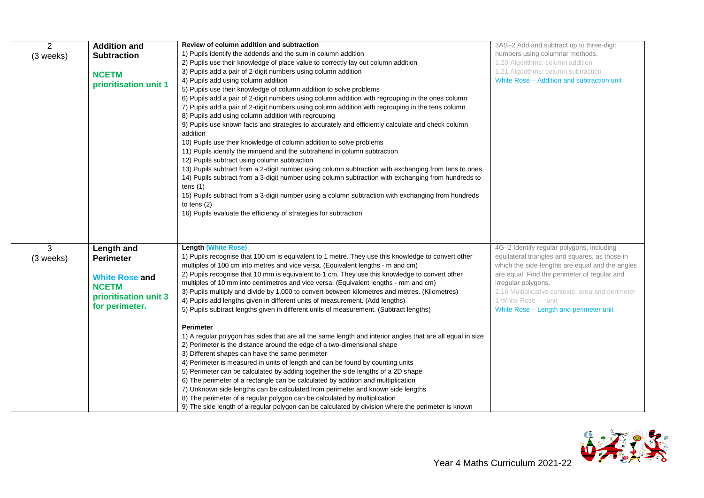| $\overline{2}$ | <b>Addition and</b>   | Review of column addition and subtraction                                                                  | 3AS-2 Add and subtract up to three-digit         |
|----------------|-----------------------|------------------------------------------------------------------------------------------------------------|--------------------------------------------------|
| (3 weeks)      | <b>Subtraction</b>    | 1) Pupils identify the addends and the sum in column addition                                              | numbers using columnar methods.                  |
|                |                       | 2) Pupils use their knowledge of place value to correctly lay out column addition                          | 1.20 Algorithms: column addition                 |
|                | <b>NCETM</b>          | 3) Pupils add a pair of 2-digit numbers using column addition                                              | 1.21 Algorithms: column subtraction              |
|                | prioritisation unit 1 | 4) Pupils add using column addition                                                                        | White Rose - Addition and subtraction unit       |
|                |                       | 5) Pupils use their knowledge of column addition to solve problems                                         |                                                  |
|                |                       | 6) Pupils add a pair of 2-digit numbers using column addition with regrouping in the ones column           |                                                  |
|                |                       | 7) Pupils add a pair of 2-digit numbers using column addition with regrouping in the tens column           |                                                  |
|                |                       | 8) Pupils add using column addition with regrouping                                                        |                                                  |
|                |                       | 9) Pupils use known facts and strategies to accurately and efficiently calculate and check column          |                                                  |
|                |                       | addition                                                                                                   |                                                  |
|                |                       | 10) Pupils use their knowledge of column addition to solve problems                                        |                                                  |
|                |                       | 11) Pupils identify the minuend and the subtrahend in column subtraction                                   |                                                  |
|                |                       | 12) Pupils subtract using column subtraction                                                               |                                                  |
|                |                       | 13) Pupils subtract from a 2-digit number using column subtraction with exchanging from tens to ones       |                                                  |
|                |                       | 14) Pupils subtract from a 3-digit number using column subtraction with exchanging from hundreds to        |                                                  |
|                |                       | tens $(1)$                                                                                                 |                                                  |
|                |                       | 15) Pupils subtract from a 3-digit number using a column subtraction with exchanging from hundreds         |                                                  |
|                |                       | to tens $(2)$                                                                                              |                                                  |
|                |                       | 16) Pupils evaluate the efficiency of strategies for subtraction                                           |                                                  |
|                |                       |                                                                                                            |                                                  |
|                |                       |                                                                                                            |                                                  |
|                |                       |                                                                                                            |                                                  |
| 3              | Length and            | <b>Length (White Rose)</b>                                                                                 | 4G-2 Identify regular polygons, including        |
| (3 weeks)      | <b>Perimeter</b>      | 1) Pupils recognise that 100 cm is equivalent to 1 metre. They use this knowledge to convert other         | equilateral triangles and squares, as those in   |
|                |                       | multiples of 100 cm into metres and vice versa. (Equivalent lengths - m and cm)                            | which the side-lengths are equal and the angles  |
|                | <b>White Rose and</b> | 2) Pupils recognise that 10 mm is equivalent to 1 cm. They use this knowledge to convert other             | are equal. Find the perimeter of regular and     |
|                | <b>NCETM</b>          | multiples of 10 mm into centimetres and vice versa. (Equivalent lengths - mm and cm)                       | irregular polygons.                              |
|                | prioritisation unit 3 | 3) Pupils multiply and divide by 1,000 to convert between kilometres and metres. (Kilometres)              | 2.16 Multiplicative contexts: area and perimeter |
|                | for perimeter.        | 4) Pupils add lengths given in different units of measurement. (Add lengths)                               | 1 White Rose - unit                              |
|                |                       | 5) Pupils subtract lengths given in different units of measurement. (Subtract lengths)                     | White Rose - Length and perimeter unit           |
|                |                       |                                                                                                            |                                                  |
|                |                       | Perimeter                                                                                                  |                                                  |
|                |                       | 1) A regular polygon has sides that are all the same length and interior angles that are all equal in size |                                                  |
|                |                       | 2) Perimeter is the distance around the edge of a two-dimensional shape                                    |                                                  |
|                |                       | 3) Different shapes can have the same perimeter                                                            |                                                  |
|                |                       | 4) Perimeter is measured in units of length and can be found by counting units                             |                                                  |
|                |                       | 5) Perimeter can be calculated by adding together the side lengths of a 2D shape                           |                                                  |
|                |                       | 6) The perimeter of a rectangle can be calculated by addition and multiplication                           |                                                  |
|                |                       | 7) Unknown side lengths can be calculated from perimeter and known side lengths                            |                                                  |
|                |                       | 8) The perimeter of a regular polygon can be calculated by multiplication                                  |                                                  |
|                |                       | 9) The side length of a regular polygon can be calculated by division where the perimeter is known         |                                                  |

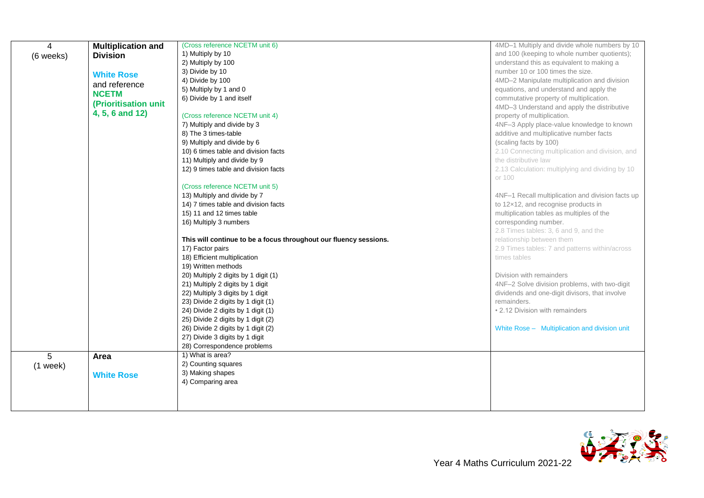| $\overline{4}$ | <b>Multiplication and</b> | (Cross reference NCETM unit 6)                                    | 4MD-1 Multiply and divide whole numbers by 10     |
|----------------|---------------------------|-------------------------------------------------------------------|---------------------------------------------------|
| (6 weeks)      | <b>Division</b>           | 1) Multiply by 10                                                 | and 100 (keeping to whole number quotients);      |
|                |                           | 2) Multiply by 100                                                | understand this as equivalent to making a         |
|                | <b>White Rose</b>         | 3) Divide by 10                                                   | number 10 or 100 times the size.                  |
|                | and reference             | 4) Divide by 100                                                  | 4MD-2 Manipulate multiplication and division      |
|                | <b>NCETM</b>              | 5) Multiply by 1 and 0                                            | equations, and understand and apply the           |
|                |                           | 6) Divide by 1 and itself                                         | commutative property of multiplication.           |
|                | (Prioritisation unit      |                                                                   | 4MD-3 Understand and apply the distributive       |
|                | 4, 5, 6 and 12)           | (Cross reference NCETM unit 4)                                    | property of multiplication.                       |
|                |                           | 7) Multiply and divide by 3                                       | 4NF-3 Apply place-value knowledge to known        |
|                |                           | 8) The 3 times-table                                              | additive and multiplicative number facts          |
|                |                           | 9) Multiply and divide by 6                                       | (scaling facts by 100)                            |
|                |                           | 10) 6 times table and division facts                              | 2.10 Connecting multiplication and division, and  |
|                |                           | 11) Multiply and divide by 9                                      | the distributive law                              |
|                |                           | 12) 9 times table and division facts                              | 2.13 Calculation: multiplying and dividing by 10  |
|                |                           |                                                                   | or 100                                            |
|                |                           | (Cross reference NCETM unit 5)                                    |                                                   |
|                |                           | 13) Multiply and divide by 7                                      | 4NF-1 Recall multiplication and division facts up |
|                |                           | 14) 7 times table and division facts                              | to 12x12, and recognise products in               |
|                |                           | 15) 11 and 12 times table                                         | multiplication tables as multiples of the         |
|                |                           | 16) Multiply 3 numbers                                            | corresponding number.                             |
|                |                           |                                                                   | 2.8 Times tables: 3, 6 and 9, and the             |
|                |                           | This will continue to be a focus throughout our fluency sessions. | relationship between them                         |
|                |                           | 17) Factor pairs                                                  | 2.9 Times tables: 7 and patterns within/across    |
|                |                           | 18) Efficient multiplication                                      | times tables                                      |
|                |                           | 19) Written methods                                               |                                                   |
|                |                           | 20) Multiply 2 digits by 1 digit (1)                              | Division with remainders                          |
|                |                           | 21) Multiply 2 digits by 1 digit                                  | 4NF-2 Solve division problems, with two-digit     |
|                |                           | 22) Multiply 3 digits by 1 digit                                  | dividends and one-digit divisors, that involve    |
|                |                           | 23) Divide 2 digits by 1 digit (1)                                | remainders.                                       |
|                |                           | 24) Divide 2 digits by 1 digit (1)                                | • 2.12 Division with remainders                   |
|                |                           | 25) Divide 2 digits by 1 digit (2)                                |                                                   |
|                |                           | 26) Divide 2 digits by 1 digit (2)                                | White Rose - Multiplication and division unit     |
|                |                           | 27) Divide 3 digits by 1 digit                                    |                                                   |
|                |                           | 28) Correspondence problems                                       |                                                   |
| 5              | Area                      | 1) What is area?                                                  |                                                   |
| $(1$ week)     |                           | 2) Counting squares                                               |                                                   |
|                | <b>White Rose</b>         | 3) Making shapes                                                  |                                                   |
|                |                           | 4) Comparing area                                                 |                                                   |
|                |                           |                                                                   |                                                   |
|                |                           |                                                                   |                                                   |

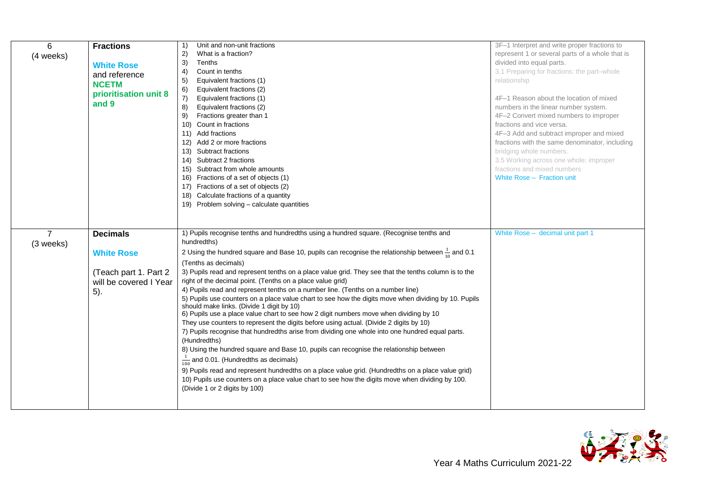| 6              | <b>Fractions</b>       | Unit and non-unit fractions<br>1)                                                                            | 3F-1 Interpret and write proper fractions to    |
|----------------|------------------------|--------------------------------------------------------------------------------------------------------------|-------------------------------------------------|
| (4 weeks)      |                        | What is a fraction?<br>2)                                                                                    | represent 1 or several parts of a whole that is |
|                | <b>White Rose</b>      | 3)<br>Tenths                                                                                                 | divided into equal parts.                       |
|                | and reference          | 4)<br>Count in tenths                                                                                        | 3.1 Preparing for fractions: the part-whole     |
|                |                        | Equivalent fractions (1)<br>5)                                                                               | relationship                                    |
|                | <b>NCETM</b>           | Equivalent fractions (2)<br>6)                                                                               |                                                 |
|                | prioritisation unit 8  | Equivalent fractions (1)<br>7)                                                                               | 4F-1 Reason about the location of mixed         |
|                | and 9                  | 8)<br>Equivalent fractions (2)                                                                               | numbers in the linear number system.            |
|                |                        | Fractions greater than 1<br>9)                                                                               | 4F-2 Convert mixed numbers to improper          |
|                |                        | 10) Count in fractions                                                                                       | fractions and vice versa.                       |
|                |                        | 11) Add fractions                                                                                            | 4F-3 Add and subtract improper and mixed        |
|                |                        | 12) Add 2 or more fractions                                                                                  | fractions with the same denominator, including  |
|                |                        | 13) Subtract fractions                                                                                       | bridging whole numbers.                         |
|                |                        | 14) Subtract 2 fractions                                                                                     | 3.5 Working across one whole: improper          |
|                |                        | 15) Subtract from whole amounts                                                                              | fractions and mixed numbers                     |
|                |                        | 16) Fractions of a set of objects (1)                                                                        | White Rose - Fraction unit                      |
|                |                        | 17) Fractions of a set of objects (2)                                                                        |                                                 |
|                |                        | 18) Calculate fractions of a quantity                                                                        |                                                 |
|                |                        | 19) Problem solving - calculate quantities                                                                   |                                                 |
|                |                        |                                                                                                              |                                                 |
|                |                        |                                                                                                              |                                                 |
| $\overline{7}$ | <b>Decimals</b>        | 1) Pupils recognise tenths and hundredths using a hundred square. (Recognise tenths and                      | White Rose - decimal unit part 1                |
| (3 weeks)      |                        | hundredths)                                                                                                  |                                                 |
|                | <b>White Rose</b>      | 2 Using the hundred square and Base 10, pupils can recognise the relationship between $\frac{1}{10}$ and 0.1 |                                                 |
|                |                        | (Tenths as decimals)                                                                                         |                                                 |
|                | (Teach part 1. Part 2) | 3) Pupils read and represent tenths on a place value grid. They see that the tenths column is to the         |                                                 |
|                | will be covered I Year | right of the decimal point. (Tenths on a place value grid)                                                   |                                                 |
|                | 5).                    | 4) Pupils read and represent tenths on a number line. (Tenths on a number line)                              |                                                 |
|                |                        | 5) Pupils use counters on a place value chart to see how the digits move when dividing by 10. Pupils         |                                                 |
|                |                        | should make links. (Divide 1 digit by 10)                                                                    |                                                 |
|                |                        | 6) Pupils use a place value chart to see how 2 digit numbers move when dividing by 10                        |                                                 |
|                |                        | They use counters to represent the digits before using actual. (Divide 2 digits by 10)                       |                                                 |
|                |                        |                                                                                                              |                                                 |
|                |                        | 7) Pupils recognise that hundredths arise from dividing one whole into one hundred equal parts.              |                                                 |
|                |                        | (Hundredths)                                                                                                 |                                                 |
|                |                        | 8) Using the hundred square and Base 10, pupils can recognise the relationship between                       |                                                 |
|                |                        | $\frac{1}{100}$ and 0.01. (Hundredths as decimals)                                                           |                                                 |
|                |                        | 9) Pupils read and represent hundredths on a place value grid. (Hundredths on a place value grid)            |                                                 |
|                |                        | 10) Pupils use counters on a place value chart to see how the digits move when dividing by 100.              |                                                 |
|                |                        | (Divide 1 or 2 digits by 100)                                                                                |                                                 |
|                |                        |                                                                                                              |                                                 |

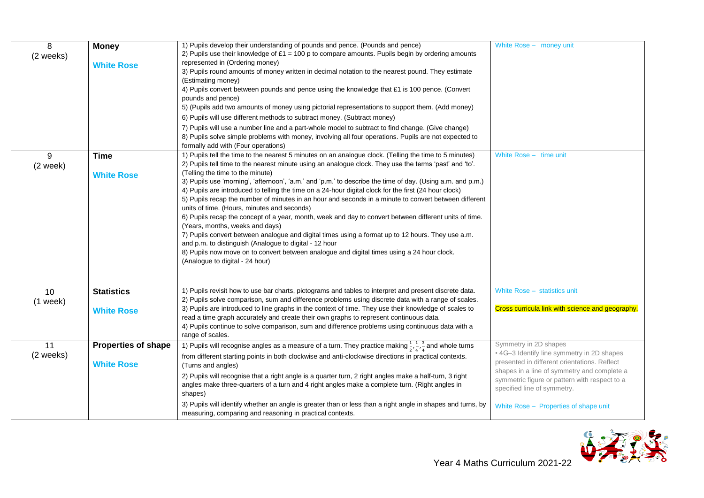| 8          | <b>Money</b>               | 1) Pupils develop their understanding of pounds and pence. (Pounds and pence)                                                                         | White Rose - money unit                                                                      |
|------------|----------------------------|-------------------------------------------------------------------------------------------------------------------------------------------------------|----------------------------------------------------------------------------------------------|
| (2 weeks)  |                            | 2) Pupils use their knowledge of $£1 = 100$ p to compare amounts. Pupils begin by ordering amounts                                                    |                                                                                              |
|            | <b>White Rose</b>          | represented in (Ordering money)                                                                                                                       |                                                                                              |
|            |                            | 3) Pupils round amounts of money written in decimal notation to the nearest pound. They estimate                                                      |                                                                                              |
|            |                            | (Estimating money)                                                                                                                                    |                                                                                              |
|            |                            | 4) Pupils convert between pounds and pence using the knowledge that £1 is 100 pence. (Convert                                                         |                                                                                              |
|            |                            | pounds and pence)                                                                                                                                     |                                                                                              |
|            |                            | 5) (Pupils add two amounts of money using pictorial representations to support them. (Add money)                                                      |                                                                                              |
|            |                            | 6) Pupils will use different methods to subtract money. (Subtract money)                                                                              |                                                                                              |
|            |                            | 7) Pupils will use a number line and a part-whole model to subtract to find change. (Give change)                                                     |                                                                                              |
|            |                            | 8) Pupils solve simple problems with money, involving all four operations. Pupils are not expected to                                                 |                                                                                              |
|            |                            | formally add with (Four operations)                                                                                                                   |                                                                                              |
| 9          | <b>Time</b>                | 1) Pupils tell the time to the nearest 5 minutes on an analogue clock. (Telling the time to 5 minutes)                                                | White Rose - time unit                                                                       |
| $(2$ week) |                            | 2) Pupils tell time to the nearest minute using an analogue clock. They use the terms 'past' and 'to'.                                                |                                                                                              |
|            | <b>White Rose</b>          | (Telling the time to the minute)                                                                                                                      |                                                                                              |
|            |                            | 3) Pupils use 'morning', 'afternoon', 'a.m.' and 'p.m.' to describe the time of day. (Using a.m. and p.m.)                                            |                                                                                              |
|            |                            | 4) Pupils are introduced to telling the time on a 24-hour digital clock for the first (24 hour clock)                                                 |                                                                                              |
|            |                            | 5) Pupils recap the number of minutes in an hour and seconds in a minute to convert between different                                                 |                                                                                              |
|            |                            | units of time. (Hours, minutes and seconds)<br>6) Pupils recap the concept of a year, month, week and day to convert between different units of time. |                                                                                              |
|            |                            | (Years, months, weeks and days)                                                                                                                       |                                                                                              |
|            |                            | 7) Pupils convert between analogue and digital times using a format up to 12 hours. They use a.m.                                                     |                                                                                              |
|            |                            | and p.m. to distinguish (Analogue to digital - 12 hour                                                                                                |                                                                                              |
|            |                            | 8) Pupils now move on to convert between analogue and digital times using a 24 hour clock.                                                            |                                                                                              |
|            |                            | (Analogue to digital - 24 hour)                                                                                                                       |                                                                                              |
|            |                            |                                                                                                                                                       |                                                                                              |
|            |                            |                                                                                                                                                       |                                                                                              |
| 10         | <b>Statistics</b>          | 1) Pupils revisit how to use bar charts, pictograms and tables to interpret and present discrete data.                                                | White Rose - statistics unit                                                                 |
| $(1$ week) |                            | 2) Pupils solve comparison, sum and difference problems using discrete data with a range of scales.                                                   |                                                                                              |
|            | <b>White Rose</b>          | 3) Pupils are introduced to line graphs in the context of time. They use their knowledge of scales to                                                 | Cross curricula link with science and geography.                                             |
|            |                            | read a time graph accurately and create their own graphs to represent continuous data.                                                                |                                                                                              |
|            |                            | 4) Pupils continue to solve comparison, sum and difference problems using continuous data with a                                                      |                                                                                              |
|            |                            | range of scales.                                                                                                                                      |                                                                                              |
| 11         | <b>Properties of shape</b> | 1) Pupils will recognise angles as a measure of a turn. They practice making $\frac{1}{2}$ , $\frac{1}{4}$ , $\frac{3}{4}$ and whole turns            | Symmetry in 2D shapes                                                                        |
| (2 weeks)  |                            | from different starting points in both clockwise and anti-clockwise directions in practical contexts.                                                 | • 4G-3 Identify line symmetry in 2D shapes                                                   |
|            | <b>White Rose</b>          | (Turns and angles)                                                                                                                                    | presented in different orientations. Reflect                                                 |
|            |                            | 2) Pupils will recognise that a right angle is a quarter turn, 2 right angles make a half-turn, 3 right                                               | shapes in a line of symmetry and complete a<br>symmetric figure or pattern with respect to a |
|            |                            | angles make three-quarters of a turn and 4 right angles make a complete turn. (Right angles in                                                        | specified line of symmetry.                                                                  |
|            |                            | shapes)                                                                                                                                               |                                                                                              |
|            |                            | 3) Pupils will identify whether an angle is greater than or less than a right angle in shapes and turns, by                                           | White Rose - Properties of shape unit                                                        |
|            |                            | measuring, comparing and reasoning in practical contexts.                                                                                             |                                                                                              |